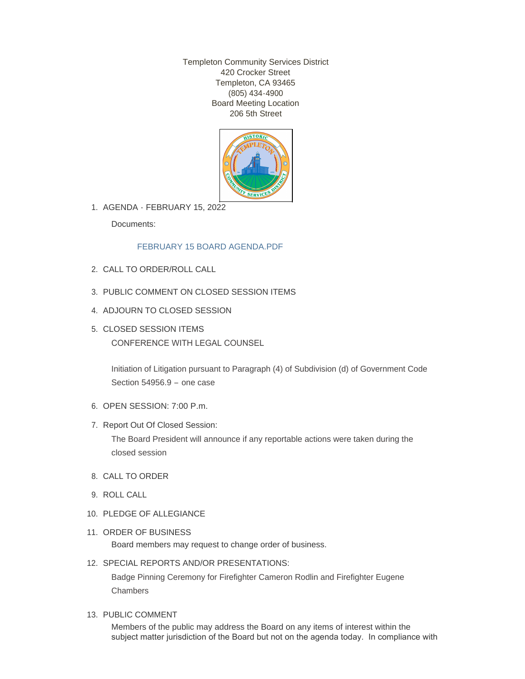Templeton Community Services District 420 Crocker Street Templeton, CA 93465 (805) 434-4900 Board Meeting Location 206 5th Street



AGENDA - FEBRUARY 15, 2022 1.

Documents:

# [FEBRUARY 15 BOARD AGENDA.PDF](http://ca-templetoncsd2.civicplus.com/AgendaCenter/ViewFile/Item/4549?fileID=3174)

- CALL TO ORDER/ROLL CALL 2.
- PUBLIC COMMENT ON CLOSED SESSION ITEMS 3.
- 4. ADJOURN TO CLOSED SESSION
- 5. CLOSED SESSION ITEMS CONFERENCE WITH LEGAL COUNSEL

Initiation of Litigation pursuant to Paragraph (4) of Subdivision (d) of Government Code Section 54956.9 – one case

- 6. OPEN SESSION: 7:00 P.m.
- 7. Report Out Of Closed Session:

The Board President will announce if any reportable actions were taken during the closed session

- 8. CALL TO ORDER
- 9. ROLL CALL
- 10. PLEDGE OF ALLEGIANCE
- 11. ORDER OF BUSINESS Board members may request to change order of business.
- 12. SPECIAL REPORTS AND/OR PRESENTATIONS:

Badge Pinning Ceremony for Firefighter Cameron Rodlin and Firefighter Eugene **Chambers** 

13. PUBLIC COMMENT

Members of the public may address the Board on any items of interest within the subject matter jurisdiction of the Board but not on the agenda today. In compliance with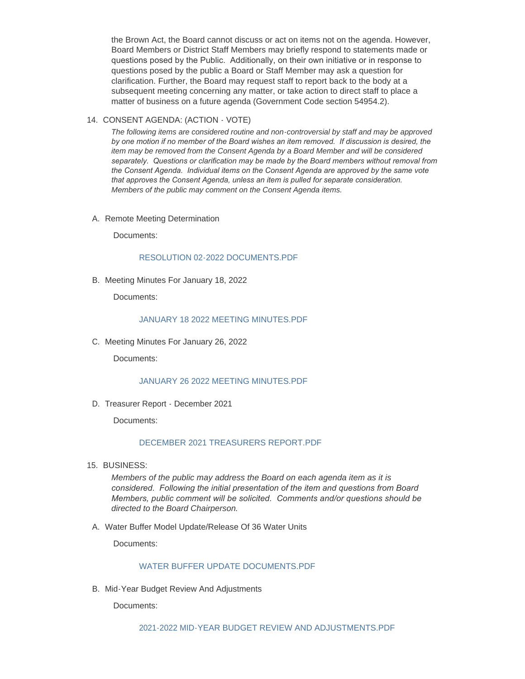the Brown Act, the Board cannot discuss or act on items not on the agenda. However, Board Members or District Staff Members may briefly respond to statements made or questions posed by the Public. Additionally, on their own initiative or in response to questions posed by the public a Board or Staff Member may ask a question for clarification. Further, the Board may request staff to report back to the body at a subsequent meeting concerning any matter, or take action to direct staff to place a matter of business on a future agenda (Government Code section 54954.2).

#### 14. CONSENT AGENDA: (ACTION - VOTE)

*The following items are considered routine and non-controversial by staff and may be approved by one motion if no member of the Board wishes an item removed. If discussion is desired, the item may be removed from the Consent Agenda by a Board Member and will be considered separately. Questions or clarification may be made by the Board members without removal from the Consent Agenda. Individual items on the Consent Agenda are approved by the same vote that approves the Consent Agenda, unless an item is pulled for separate consideration. Members of the public may comment on the Consent Agenda items.*

A. Remote Meeting Determination

Documents:

#### [RESOLUTION 02-2022 DOCUMENTS.PDF](http://ca-templetoncsd2.civicplus.com/AgendaCenter/ViewFile/Item/4545?fileID=3170)

B. Meeting Minutes For January 18, 2022

Documents:

#### [JANUARY 18 2022 MEETING MINUTES.PDF](http://ca-templetoncsd2.civicplus.com/AgendaCenter/ViewFile/Item/4521?fileID=3153)

C. Meeting Minutes For January 26, 2022

Documents:

#### [JANUARY 26 2022 MEETING MINUTES.PDF](http://ca-templetoncsd2.civicplus.com/AgendaCenter/ViewFile/Item/4540?fileID=3165)

D. Treasurer Report - December 2021

Documents:

#### DECEMBER 2021 TREASURERS REPORT PDF

15. BUSINESS:

*Members of the public may address the Board on each agenda item as it is considered. Following the initial presentation of the item and questions from Board Members, public comment will be solicited. Comments and/or questions should be directed to the Board Chairperson.*

A. Water Buffer Model Update/Release Of 36 Water Units

Documents:

#### [WATER BUFFER UPDATE DOCUMENTS.PDF](http://ca-templetoncsd2.civicplus.com/AgendaCenter/ViewFile/Item/4542?fileID=3167)

B. Mid-Year Budget Review And Adjustments

Documents: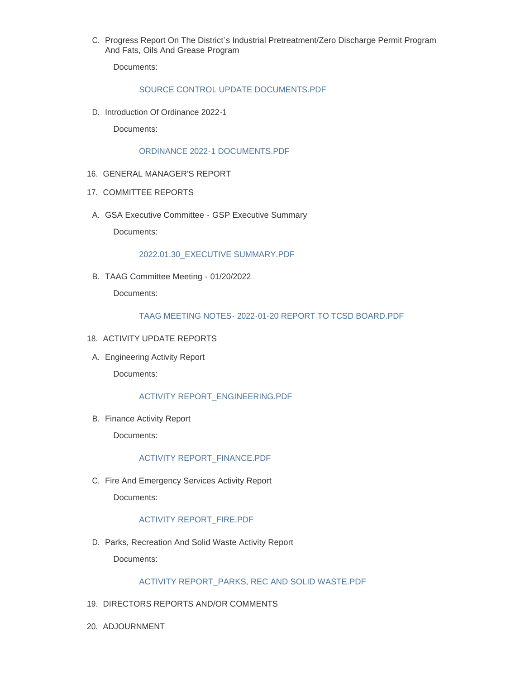C. Progress Report On The District's Industrial Pretreatment/Zero Discharge Permit Program And Fats, Oils And Grease Program

Documents:

## [SOURCE CONTROL UPDATE DOCUMENTS.PDF](http://ca-templetoncsd2.civicplus.com/AgendaCenter/ViewFile/Item/4546?fileID=3171)

D. Introduction Of Ordinance 2022-1

Documents:

#### [ORDINANCE 2022-1 DOCUMENTS.PDF](http://ca-templetoncsd2.civicplus.com/AgendaCenter/ViewFile/Item/4543?fileID=3168)

- 16. GENERAL MANAGER'S REPORT
- 17. COMMITTEE REPORTS
- A. GSA Executive Committee GSP Executive Summary

Documents:

## [2022.01.30\\_EXECUTIVE SUMMARY.PDF](http://ca-templetoncsd2.civicplus.com/AgendaCenter/ViewFile/Item/4522?fileID=3161)

TAAG Committee Meeting - 01/20/2022 B.

Documents:

# [TAAG MEETING NOTES- 2022-01-20 REPORT TO TCSD BOARD.PDF](http://ca-templetoncsd2.civicplus.com/AgendaCenter/ViewFile/Item/4547?fileID=3172)

- 18. ACTIVITY UPDATE REPORTS
- A. Engineering Activity Report

Documents:

#### [ACTIVITY REPORT\\_ENGINEERING.PDF](http://ca-templetoncsd2.civicplus.com/AgendaCenter/ViewFile/Item/4537?fileID=3163)

B. Finance Activity Report

Documents:

## [ACTIVITY REPORT\\_FINANCE.PDF](http://ca-templetoncsd2.civicplus.com/AgendaCenter/ViewFile/Item/4538?fileID=3164)

C. Fire And Emergency Services Activity Report

Documents:

#### [ACTIVITY REPORT\\_FIRE.PDF](http://ca-templetoncsd2.civicplus.com/AgendaCenter/ViewFile/Item/4544?fileID=3169)

D. Parks, Recreation And Solid Waste Activity Report Documents:

# [ACTIVITY REPORT\\_PARKS, REC AND SOLID WASTE.PDF](http://ca-templetoncsd2.civicplus.com/AgendaCenter/ViewFile/Item/4548?fileID=3173)

- 19. DIRECTORS REPORTS AND/OR COMMENTS
- 20. ADJOURNMENT